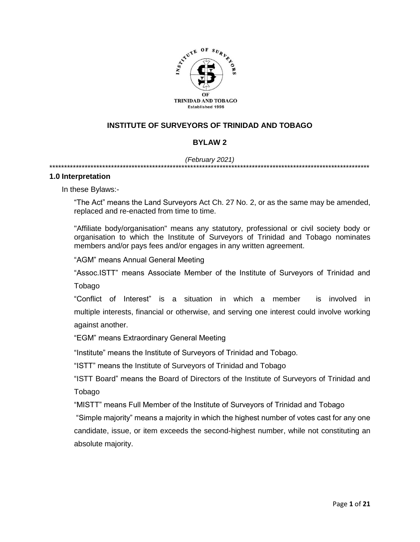

# **INSTITUTE OF SURVEYORS OF TRINIDAD AND TOBAGO**

# **BYLAW 2**

#### *(February 2021)*

\*\*\*\*\*\*\*\*\*\*\*\*\*\*\*\*\*\*\*\*\*\*\*\*\*\*\*\*\*\*\*\*\*\*\*\*\*\*\*\*\*\*\*\*\*\*\*\*\*\*\*\*\*\*\*\*\*\*\*\*\*\*\*\*\*\*\*\*\*\*\*\*\*\*\*\*\*\*\*\*\*\*\*\*\*\*\*\*\*\*\*\*\*\*\*\*\*\*\*\*\*\*\*\*\*\*\*\*\*

#### **1.0 Interpretation**

In these Bylaws:-

"The Act" means the Land Surveyors Act Ch. 27 No. 2, or as the same may be amended, replaced and re-enacted from time to time.

"Affiliate body/organisation" means any statutory, professional or civil society body or organisation to which the Institute of Surveyors of Trinidad and Tobago nominates members and/or pays fees and/or engages in any written agreement.

"AGM" means Annual General Meeting

"Assoc.ISTT" means Associate Member of the Institute of Surveyors of Trinidad and

Tobago

"Conflict of Interest" is a situation in which a [member](https://en.wikipedia.org/wiki/Person) is involved in multiple [interests,](https://en.wiktionary.org/wiki/interest#Noun) [financial](https://en.wikipedia.org/wiki/Finance) or otherwise, and serving one interest could involve working against another.

"EGM" means Extraordinary General Meeting

"Institute" means the Institute of Surveyors of Trinidad and Tobago.

"ISTT" means the Institute of Surveyors of Trinidad and Tobago

"ISTT Board" means the Board of Directors of the Institute of Surveyors of Trinidad and Tobago

"MISTT" means Full Member of the Institute of Surveyors of Trinidad and Tobago

"Simple majority" means a majority in which the highest number of votes cast for any one candidate, issue, or item exceeds the second-highest number, while not constituting an absolute majority.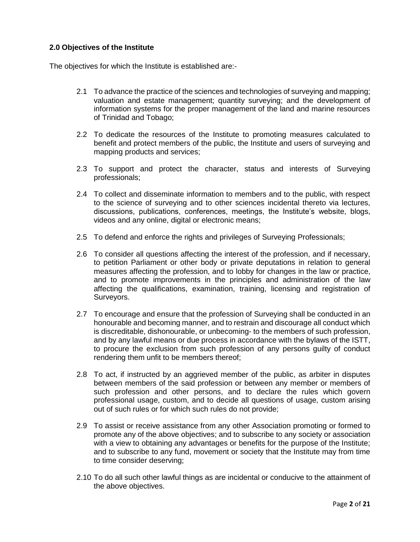# **2.0 Objectives of the Institute**

The objectives for which the Institute is established are:-

- 2.1 To advance the practice of the sciences and technologies of surveying and mapping; valuation and estate management; quantity surveying; and the development of information systems for the proper management of the land and marine resources of Trinidad and Tobago;
- 2.2 To dedicate the resources of the Institute to promoting measures calculated to benefit and protect members of the public, the Institute and users of surveying and mapping products and services;
- 2.3 To support and protect the character, status and interests of Surveying professionals;
- 2.4 To collect and disseminate information to members and to the public, with respect to the science of surveying and to other sciences incidental thereto via lectures, discussions, publications, conferences, meetings, the Institute's website, blogs, videos and any online, digital or electronic means;
- 2.5 To defend and enforce the rights and privileges of Surveying Professionals;
- 2.6 To consider all questions affecting the interest of the profession, and if necessary, to petition Parliament or other body or private deputations in relation to general measures affecting the profession, and to lobby for changes in the law or practice, and to promote improvements in the principles and administration of the law affecting the qualifications, examination, training, licensing and registration of Surveyors.
- 2.7 To encourage and ensure that the profession of Surveying shall be conducted in an honourable and becoming manner, and to restrain and discourage all conduct which is discreditable, dishonourable, or unbecoming- to the members of such profession, and by any lawful means or due process in accordance with the bylaws of the ISTT, to procure the exclusion from such profession of any persons guilty of conduct rendering them unfit to be members thereof;
- 2.8 To act, if instructed by an aggrieved member of the public, as arbiter in disputes between members of the said profession or between any member or members of such profession and other persons, and to declare the rules which govern professional usage, custom, and to decide all questions of usage, custom arising out of such rules or for which such rules do not provide;
- 2.9 To assist or receive assistance from any other Association promoting or formed to promote any of the above objectives; and to subscribe to any society or association with a view to obtaining any advantages or benefits for the purpose of the Institute; and to subscribe to any fund, movement or society that the Institute may from time to time consider deserving;
- 2.10 To do all such other lawful things as are incidental or conducive to the attainment of the above objectives.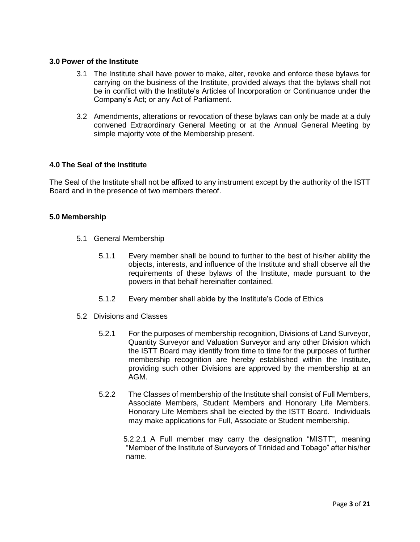### **3.0 Power of the Institute**

- 3.1 The Institute shall have power to make, alter, revoke and enforce these bylaws for carrying on the business of the Institute, provided always that the bylaws shall not be in conflict with the Institute's Articles of Incorporation or Continuance under the Company's Act; or any Act of Parliament.
- 3.2 Amendments, alterations or revocation of these bylaws can only be made at a duly convened Extraordinary General Meeting or at the Annual General Meeting by simple majority vote of the Membership present.

## **4.0 The Seal of the Institute**

The Seal of the Institute shall not be affixed to any instrument except by the authority of the ISTT Board and in the presence of two members thereof.

## **5.0 Membership**

- 5.1 General Membership
	- 5.1.1 Every member shall be bound to further to the best of his/her ability the objects, interests, and influence of the Institute and shall observe all the requirements of these bylaws of the Institute, made pursuant to the powers in that behalf hereinafter contained.
	- 5.1.2 Every member shall abide by the Institute's Code of Ethics
- 5.2 Divisions and Classes
	- 5.2.1 For the purposes of membership recognition, Divisions of Land Surveyor, Quantity Surveyor and Valuation Surveyor and any other Division which the ISTT Board may identify from time to time for the purposes of further membership recognition are hereby established within the Institute, providing such other Divisions are approved by the membership at an AGM.
	- 5.2.2 The Classes of membership of the Institute shall consist of Full Members, Associate Members, Student Members and Honorary Life Members. Honorary Life Members shall be elected by the ISTT Board. Individuals may make applications for Full, Associate or Student membership.

5.2.2.1 A Full member may carry the designation "MISTT", meaning "Member of the Institute of Surveyors of Trinidad and Tobago" after his/her name.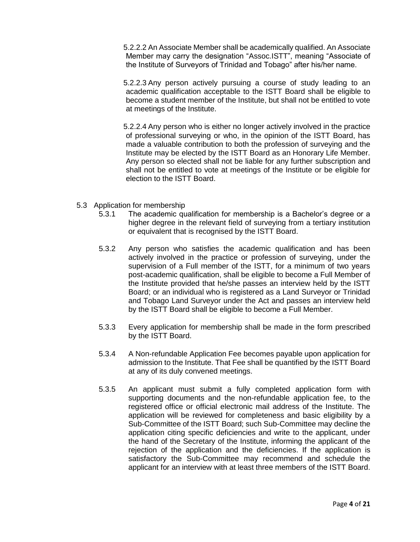5.2.2.2 An Associate Member shall be academically qualified. An Associate Member may carry the designation "Assoc.ISTT", meaning "Associate of the Institute of Surveyors of Trinidad and Tobago" after his/her name.

5.2.2.3 Any person actively pursuing a course of study leading to an academic qualification acceptable to the ISTT Board shall be eligible to become a student member of the Institute, but shall not be entitled to vote at meetings of the Institute.

5.2.2.4 Any person who is either no longer actively involved in the practice of professional surveying or who, in the opinion of the ISTT Board, has made a valuable contribution to both the profession of surveying and the Institute may be elected by the ISTT Board as an Honorary Life Member. Any person so elected shall not be liable for any further subscription and shall not be entitled to vote at meetings of the Institute or be eligible for election to the ISTT Board.

- 5.3 Application for membership
	- 5.3.1 The academic qualification for membership is a Bachelor's degree or a higher degree in the relevant field of surveying from a tertiary institution or equivalent that is recognised by the ISTT Board.
	- 5.3.2 Any person who satisfies the academic qualification and has been actively involved in the practice or profession of surveying, under the supervision of a Full member of the ISTT, for a minimum of two years post-academic qualification, shall be eligible to become a Full Member of the Institute provided that he/she passes an interview held by the ISTT Board; or an individual who is registered as a Land Surveyor or Trinidad and Tobago Land Surveyor under the Act and passes an interview held by the ISTT Board shall be eligible to become a Full Member.
	- 5.3.3 Every application for membership shall be made in the form prescribed by the ISTT Board.
	- 5.3.4 A Non-refundable Application Fee becomes payable upon application for admission to the Institute. That Fee shall be quantified by the ISTT Board at any of its duly convened meetings.
	- 5.3.5 An applicant must submit a fully completed application form with supporting documents and the non-refundable application fee, to the registered office or official electronic mail address of the Institute. The application will be reviewed for completeness and basic eligibility by a Sub-Committee of the ISTT Board; such Sub-Committee may decline the application citing specific deficiencies and write to the applicant, under the hand of the Secretary of the Institute, informing the applicant of the rejection of the application and the deficiencies. If the application is satisfactory the Sub-Committee may recommend and schedule the applicant for an interview with at least three members of the ISTT Board.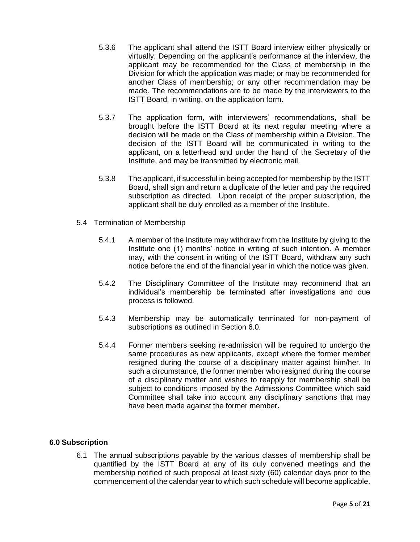- 5.3.6 The applicant shall attend the ISTT Board interview either physically or virtually. Depending on the applicant's performance at the interview, the applicant may be recommended for the Class of membership in the Division for which the application was made; or may be recommended for another Class of membership; or any other recommendation may be made. The recommendations are to be made by the interviewers to the ISTT Board, in writing, on the application form.
- 5.3.7 The application form, with interviewers' recommendations, shall be brought before the ISTT Board at its next regular meeting where a decision will be made on the Class of membership within a Division. The decision of the ISTT Board will be communicated in writing to the applicant, on a letterhead and under the hand of the Secretary of the Institute, and may be transmitted by electronic mail.
- 5.3.8 The applicant, if successful in being accepted for membership by the ISTT Board, shall sign and return a duplicate of the letter and pay the required subscription as directed. Upon receipt of the proper subscription, the applicant shall be duly enrolled as a member of the Institute.
- 5.4 Termination of Membership
	- 5.4.1 A member of the Institute may withdraw from the Institute by giving to the Institute one (1) months' notice in writing of such intention. A member may, with the consent in writing of the ISTT Board, withdraw any such notice before the end of the financial year in which the notice was given.
	- 5.4.2 The Disciplinary Committee of the Institute may recommend that an individual's membership be terminated after investigations and due process is followed.
	- 5.4.3 Membership may be automatically terminated for non-payment of subscriptions as outlined in Section 6.0.
	- 5.4.4 Former members seeking re-admission will be required to undergo the same procedures as new applicants, except where the former member resigned during the course of a disciplinary matter against him/her. In such a circumstance, the former member who resigned during the course of a disciplinary matter and wishes to reapply for membership shall be subject to conditions imposed by the Admissions Committee which said Committee shall take into account any disciplinary sanctions that may have been made against the former member**.**

### **6.0 Subscription**

6.1 The annual subscriptions payable by the various classes of membership shall be quantified by the ISTT Board at any of its duly convened meetings and the membership notified of such proposal at least sixty (60) calendar days prior to the commencement of the calendar year to which such schedule will become applicable.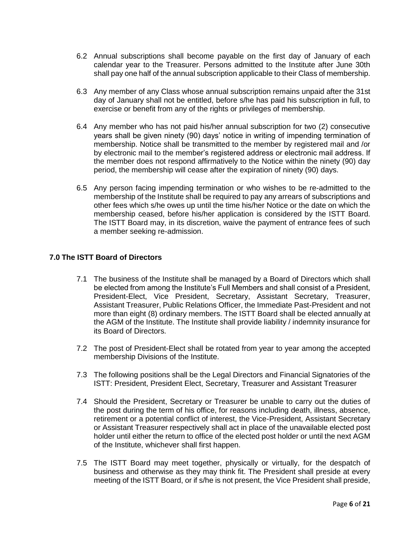- 6.2 Annual subscriptions shall become payable on the first day of January of each calendar year to the Treasurer. Persons admitted to the Institute after June 30th shall pay one half of the annual subscription applicable to their Class of membership.
- 6.3 Any member of any Class whose annual subscription remains unpaid after the 31st day of January shall not be entitled, before s/he has paid his subscription in full, to exercise or benefit from any of the rights or privileges of membership.
- 6.4 Any member who has not paid his/her annual subscription for two (2) consecutive years shall be given ninety (90) days' notice in writing of impending termination of membership. Notice shall be transmitted to the member by registered mail and /or by electronic mail to the member's registered address or electronic mail address. If the member does not respond affirmatively to the Notice within the ninety (90) day period, the membership will cease after the expiration of ninety (90) days.
- 6.5 Any person facing impending termination or who wishes to be re-admitted to the membership of the Institute shall be required to pay any arrears of subscriptions and other fees which s/he owes up until the time his/her Notice or the date on which the membership ceased, before his/her application is considered by the ISTT Board. The ISTT Board may, in its discretion, waive the payment of entrance fees of such a member seeking re-admission.

## **7.0 The ISTT Board of Directors**

- 7.1 The business of the Institute shall be managed by a Board of Directors which shall be elected from among the Institute's Full Members and shall consist of a President, President-Elect, Vice President, Secretary, Assistant Secretary, Treasurer, Assistant Treasurer, Public Relations Officer, the Immediate Past-President and not more than eight (8) ordinary members. The ISTT Board shall be elected annually at the AGM of the Institute. The Institute shall provide liability / indemnity insurance for its Board of Directors.
- 7.2 The post of President-Elect shall be rotated from year to year among the accepted membership Divisions of the Institute.
- 7.3 The following positions shall be the Legal Directors and Financial Signatories of the ISTT: President, President Elect, Secretary, Treasurer and Assistant Treasurer
- 7.4 Should the President, Secretary or Treasurer be unable to carry out the duties of the post during the term of his office, for reasons including death, illness, absence, retirement or a potential conflict of interest, the Vice-President, Assistant Secretary or Assistant Treasurer respectively shall act in place of the unavailable elected post holder until either the return to office of the elected post holder or until the next AGM of the Institute, whichever shall first happen.
- 7.5 The ISTT Board may meet together, physically or virtually, for the despatch of business and otherwise as they may think fit. The President shall preside at every meeting of the ISTT Board, or if s/he is not present, the Vice President shall preside,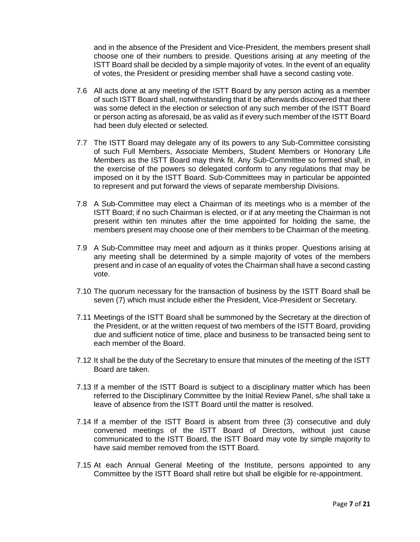and in the absence of the President and Vice-President, the members present shall choose one of their numbers to preside. Questions arising at any meeting of the ISTT Board shall be decided by a simple majority of votes. In the event of an equality of votes, the President or presiding member shall have a second casting vote.

- 7.6 All acts done at any meeting of the ISTT Board by any person acting as a member of such ISTT Board shall, notwithstanding that it be afterwards discovered that there was some defect in the election or selection of any such member of the ISTT Board or person acting as aforesaid, be as valid as if every such member of the ISTT Board had been duly elected or selected.
- 7.7 The ISTT Board may delegate any of its powers to any Sub-Committee consisting of such Full Members, Associate Members, Student Members or Honorary Life Members as the ISTT Board may think fit. Any Sub-Committee so formed shall, in the exercise of the powers so delegated conform to any regulations that may be imposed on it by the ISTT Board. Sub-Committees may in particular be appointed to represent and put forward the views of separate membership Divisions.
- 7.8 A Sub-Committee may elect a Chairman of its meetings who is a member of the ISTT Board; if no such Chairman is elected, or if at any meeting the Chairman is not present within ten minutes after the time appointed for holding the same, the members present may choose one of their members to be Chairman of the meeting.
- 7.9 A Sub-Committee may meet and adjourn as it thinks proper. Questions arising at any meeting shall be determined by a simple majority of votes of the members present and in case of an equality of votes the Chairman shall have a second casting vote.
- 7.10 The quorum necessary for the transaction of business by the ISTT Board shall be seven (7) which must include either the President, Vice-President or Secretary.
- 7.11 Meetings of the ISTT Board shall be summoned by the Secretary at the direction of the President, or at the written request of two members of the ISTT Board, providing due and sufficient notice of time, place and business to be transacted being sent to each member of the Board.
- 7.12 It shall be the duty of the Secretary to ensure that minutes of the meeting of the ISTT Board are taken.
- 7.13 If a member of the ISTT Board is subject to a disciplinary matter which has been referred to the Disciplinary Committee by the Initial Review Panel, s/he shall take a leave of absence from the ISTT Board until the matter is resolved.
- 7.14 If a member of the ISTT Board is absent from three (3) consecutive and duly convened meetings of the ISTT Board of Directors, without just cause communicated to the ISTT Board, the ISTT Board may vote by simple majority to have said member removed from the ISTT Board.
- 7.15 At each Annual General Meeting of the Institute, persons appointed to any Committee by the ISTT Board shall retire but shall be eligible for re-appointment.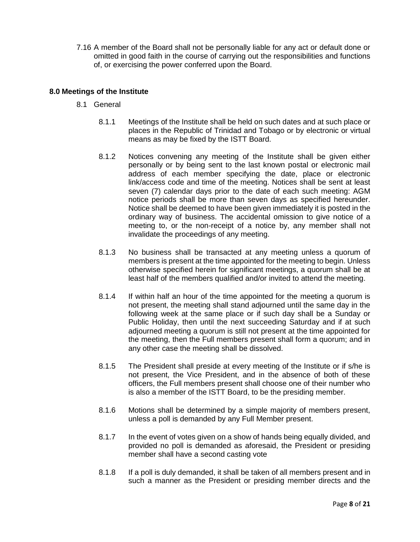7.16 A member of the Board shall not be personally liable for any act or default done or omitted in good faith in the course of carrying out the responsibilities and functions of, or exercising the power conferred upon the Board.

## **8.0 Meetings of the Institute**

- 8.1 General
	- 8.1.1 Meetings of the Institute shall be held on such dates and at such place or places in the Republic of Trinidad and Tobago or by electronic or virtual means as may be fixed by the ISTT Board.
	- 8.1.2 Notices convening any meeting of the Institute shall be given either personally or by being sent to the last known postal or electronic mail address of each member specifying the date, place or electronic link/access code and time of the meeting. Notices shall be sent at least seven (7) calendar days prior to the date of each such meeting: AGM notice periods shall be more than seven days as specified hereunder. Notice shall be deemed to have been given immediately it is posted in the ordinary way of business. The accidental omission to give notice of a meeting to, or the non-receipt of a notice by, any member shall not invalidate the proceedings of any meeting.
	- 8.1.3 No business shall be transacted at any meeting unless a quorum of members is present at the time appointed for the meeting to begin. Unless otherwise specified herein for significant meetings, a quorum shall be at least half of the members qualified and/or invited to attend the meeting.
	- 8.1.4 If within half an hour of the time appointed for the meeting a quorum is not present, the meeting shall stand adjourned until the same day in the following week at the same place or if such day shall be a Sunday or Public Holiday, then until the next succeeding Saturday and if at such adjourned meeting a quorum is still not present at the time appointed for the meeting, then the Full members present shall form a quorum; and in any other case the meeting shall be dissolved.
	- 8.1.5 The President shall preside at every meeting of the Institute or if s/he is not present, the Vice President, and in the absence of both of these officers, the Full members present shall choose one of their number who is also a member of the ISTT Board, to be the presiding member.
	- 8.1.6 Motions shall be determined by a simple majority of members present, unless a poll is demanded by any Full Member present.
	- 8.1.7 In the event of votes given on a show of hands being equally divided, and provided no poll is demanded as aforesaid, the President or presiding member shall have a second casting vote
	- 8.1.8 If a poll is duly demanded, it shall be taken of all members present and in such a manner as the President or presiding member directs and the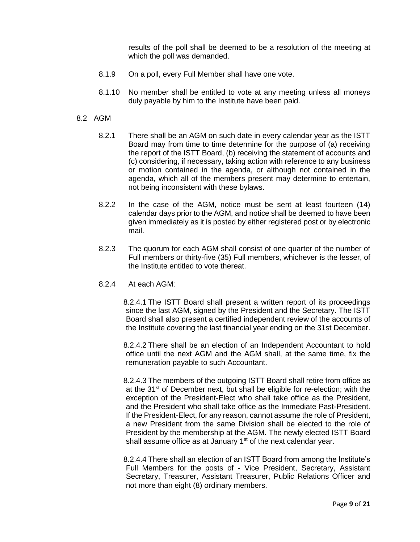results of the poll shall be deemed to be a resolution of the meeting at which the poll was demanded.

- 8.1.9 On a poll, every Full Member shall have one vote.
- 8.1.10 No member shall be entitled to vote at any meeting unless all moneys duly payable by him to the Institute have been paid.
- 8.2 AGM
	- 8.2.1 There shall be an AGM on such date in every calendar year as the ISTT Board may from time to time determine for the purpose of (a) receiving the report of the ISTT Board, (b) receiving the statement of accounts and (c) considering, if necessary, taking action with reference to any business or motion contained in the agenda, or although not contained in the agenda, which all of the members present may determine to entertain, not being inconsistent with these bylaws.
	- 8.2.2 In the case of the AGM, notice must be sent at least fourteen (14) calendar days prior to the AGM, and notice shall be deemed to have been given immediately as it is posted by either registered post or by electronic mail.
	- 8.2.3 The quorum for each AGM shall consist of one quarter of the number of Full members or thirty-five (35) Full members, whichever is the lesser, of the Institute entitled to vote thereat.
	- 8.2.4 At each AGM:

8.2.4.1 The ISTT Board shall present a written report of its proceedings since the last AGM, signed by the President and the Secretary. The ISTT Board shall also present a certified independent review of the accounts of the Institute covering the last financial year ending on the 31st December.

8.2.4.2 There shall be an election of an Independent Accountant to hold office until the next AGM and the AGM shall, at the same time, fix the remuneration payable to such Accountant.

8.2.4.3 The members of the outgoing ISTT Board shall retire from office as at the 31<sup>st</sup> of December next, but shall be eligible for re-election; with the exception of the President-Elect who shall take office as the President, and the President who shall take office as the Immediate Past-President. If the President-Elect, for any reason, cannot assume the role of President, a new President from the same Division shall be elected to the role of President by the membership at the AGM. The newly elected ISTT Board shall assume office as at January  $1<sup>st</sup>$  of the next calendar year.

8.2.4.4 There shall an election of an ISTT Board from among the Institute's Full Members for the posts of - Vice President, Secretary, Assistant Secretary, Treasurer, Assistant Treasurer, Public Relations Officer and not more than eight (8) ordinary members.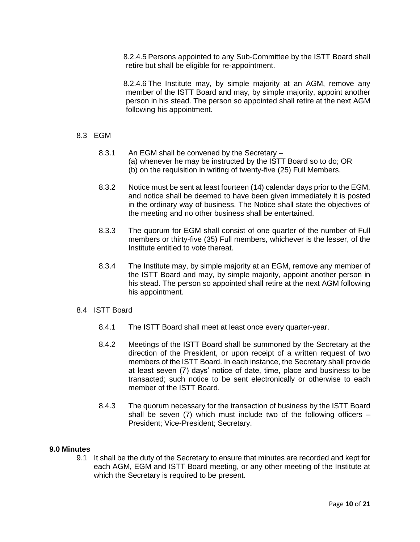8.2.4.5 Persons appointed to any Sub-Committee by the ISTT Board shall retire but shall be eligible for re-appointment.

8.2.4.6 The Institute may, by simple majority at an AGM, remove any member of the ISTT Board and may, by simple majority, appoint another person in his stead. The person so appointed shall retire at the next AGM following his appointment.

### 8.3 EGM

- 8.3.1 An EGM shall be convened by the Secretary (a) whenever he may be instructed by the ISTT Board so to do; OR (b) on the requisition in writing of twenty-five (25) Full Members.
- 8.3.2 Notice must be sent at least fourteen (14) calendar days prior to the EGM, and notice shall be deemed to have been given immediately it is posted in the ordinary way of business. The Notice shall state the objectives of the meeting and no other business shall be entertained.
- 8.3.3 The quorum for EGM shall consist of one quarter of the number of Full members or thirty-five (35) Full members, whichever is the lesser, of the Institute entitled to vote thereat.
- 8.3.4 The Institute may, by simple majority at an EGM, remove any member of the ISTT Board and may, by simple majority, appoint another person in his stead. The person so appointed shall retire at the next AGM following his appointment.

#### 8.4 ISTT Board

- 8.4.1 The ISTT Board shall meet at least once every quarter-year.
- 8.4.2 Meetings of the ISTT Board shall be summoned by the Secretary at the direction of the President, or upon receipt of a written request of two members of the ISTT Board. In each instance, the Secretary shall provide at least seven (7) days' notice of date, time, place and business to be transacted; such notice to be sent electronically or otherwise to each member of the ISTT Board.
- 8.4.3 The quorum necessary for the transaction of business by the ISTT Board shall be seven (7) which must include two of the following officers  $-$ President; Vice-President; Secretary.

#### **9.0 Minutes**

9.1 It shall be the duty of the Secretary to ensure that minutes are recorded and kept for each AGM, EGM and ISTT Board meeting, or any other meeting of the Institute at which the Secretary is required to be present.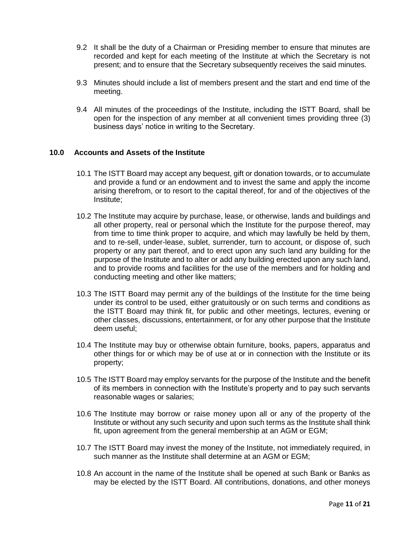- 9.2 It shall be the duty of a Chairman or Presiding member to ensure that minutes are recorded and kept for each meeting of the Institute at which the Secretary is not present; and to ensure that the Secretary subsequently receives the said minutes.
- 9.3 Minutes should include a list of members present and the start and end time of the meeting.
- 9.4 All minutes of the proceedings of the Institute, including the ISTT Board, shall be open for the inspection of any member at all convenient times providing three (3) business days' notice in writing to the Secretary.

## **10.0 Accounts and Assets of the Institute**

- 10.1 The ISTT Board may accept any bequest, gift or donation towards, or to accumulate and provide a fund or an endowment and to invest the same and apply the income arising therefrom, or to resort to the capital thereof, for and of the objectives of the Institute;
- 10.2 The Institute may acquire by purchase, lease, or otherwise, lands and buildings and all other property, real or personal which the Institute for the purpose thereof, may from time to time think proper to acquire, and which may lawfully be held by them, and to re-sell, under-lease, sublet, surrender, turn to account, or dispose of, such property or any part thereof, and to erect upon any such land any building for the purpose of the Institute and to alter or add any building erected upon any such land, and to provide rooms and facilities for the use of the members and for holding and conducting meeting and other like matters;
- 10.3 The ISTT Board may permit any of the buildings of the Institute for the time being under its control to be used, either gratuitously or on such terms and conditions as the ISTT Board may think fit, for public and other meetings, lectures, evening or other classes, discussions, entertainment, or for any other purpose that the Institute deem useful;
- 10.4 The Institute may buy or otherwise obtain furniture, books, papers, apparatus and other things for or which may be of use at or in connection with the Institute or its property;
- 10.5 The ISTT Board may employ servants for the purpose of the Institute and the benefit of its members in connection with the Institute's property and to pay such servants reasonable wages or salaries;
- 10.6 The Institute may borrow or raise money upon all or any of the property of the Institute or without any such security and upon such terms as the Institute shall think fit, upon agreement from the general membership at an AGM or EGM;
- 10.7 The ISTT Board may invest the money of the Institute, not immediately required, in such manner as the Institute shall determine at an AGM or EGM;
- 10.8 An account in the name of the Institute shall be opened at such Bank or Banks as may be elected by the ISTT Board. All contributions, donations, and other moneys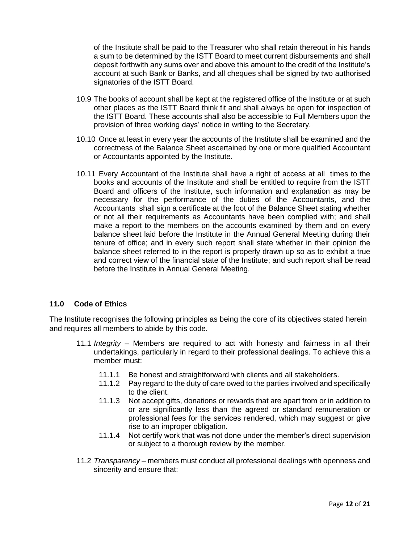of the Institute shall be paid to the Treasurer who shall retain thereout in his hands a sum to be determined by the ISTT Board to meet current disbursements and shall deposit forthwith any sums over and above this amount to the credit of the Institute's account at such Bank or Banks, and all cheques shall be signed by two authorised signatories of the ISTT Board.

- 10.9 The books of account shall be kept at the registered office of the Institute or at such other places as the ISTT Board think fit and shall always be open for inspection of the ISTT Board. These accounts shall also be accessible to Full Members upon the provision of three working days' notice in writing to the Secretary.
- 10.10 Once at least in every year the accounts of the Institute shall be examined and the correctness of the Balance Sheet ascertained by one or more qualified Accountant or Accountants appointed by the Institute.
- 10.11 Every Accountant of the Institute shall have a right of access at all times to the books and accounts of the Institute and shall be entitled to require from the ISTT Board and officers of the Institute, such information and explanation as may be necessary for the performance of the duties of the Accountants, and the Accountants shall sign a certificate at the foot of the Balance Sheet stating whether or not all their requirements as Accountants have been complied with; and shall make a report to the members on the accounts examined by them and on every balance sheet laid before the Institute in the Annual General Meeting during their tenure of office; and in every such report shall state whether in their opinion the balance sheet referred to in the report is properly drawn up so as to exhibit a true and correct view of the financial state of the Institute; and such report shall be read before the Institute in Annual General Meeting.

### **11.0 Code of Ethics**

The Institute recognises the following principles as being the core of its objectives stated herein and requires all members to abide by this code.

- 11.1 *Integrity* Members are required to act with honesty and fairness in all their undertakings, particularly in regard to their professional dealings. To achieve this a member must:
	- 11.1.1 Be honest and straightforward with clients and all stakeholders.
	- 11.1.2 Pay regard to the duty of care owed to the parties involved and specifically to the client.
	- 11.1.3 Not accept gifts, donations or rewards that are apart from or in addition to or are significantly less than the agreed or standard remuneration or professional fees for the services rendered, which may suggest or give rise to an improper obligation.
	- 11.1.4 Not certify work that was not done under the member's direct supervision or subject to a thorough review by the member.
- 11.2 *Transparency* members must conduct all professional dealings with openness and sincerity and ensure that: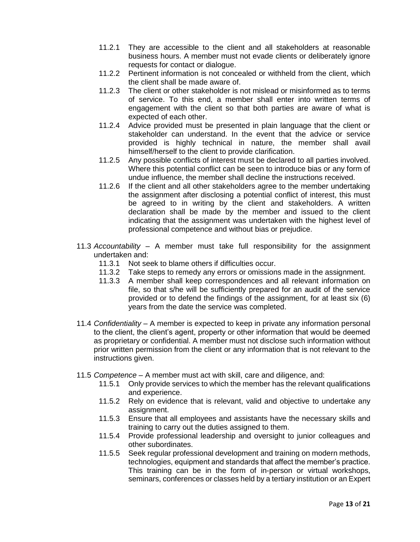- 11.2.1 They are accessible to the client and all stakeholders at reasonable business hours. A member must not evade clients or deliberately ignore requests for contact or dialogue.
- 11.2.2 Pertinent information is not concealed or withheld from the client, which the client shall be made aware of.
- 11.2.3 The client or other stakeholder is not mislead or misinformed as to terms of service. To this end, a member shall enter into written terms of engagement with the client so that both parties are aware of what is expected of each other.
- 11.2.4 Advice provided must be presented in plain language that the client or stakeholder can understand. In the event that the advice or service provided is highly technical in nature, the member shall avail himself/herself to the client to provide clarification.
- 11.2.5 Any possible conflicts of interest must be declared to all parties involved. Where this potential conflict can be seen to introduce bias or any form of undue influence, the member shall decline the instructions received.
- 11.2.6 If the client and all other stakeholders agree to the member undertaking the assignment after disclosing a potential conflict of interest, this must be agreed to in writing by the client and stakeholders. A written declaration shall be made by the member and issued to the client indicating that the assignment was undertaken with the highest level of professional competence and without bias or prejudice.
- 11.3 *Accountability* A member must take full responsibility for the assignment undertaken and:
	- 11.3.1 Not seek to blame others if difficulties occur.
	- 11.3.2 Take steps to remedy any errors or omissions made in the assignment.
	- 11.3.3 A member shall keep correspondences and all relevant information on file, so that s/he will be sufficiently prepared for an audit of the service provided or to defend the findings of the assignment, for at least six (6) years from the date the service was completed.
- 11.4 *Confidentiality* A member is expected to keep in private any information personal to the client, the client's agent, property or other information that would be deemed as proprietary or confidential. A member must not disclose such information without prior written permission from the client or any information that is not relevant to the instructions given.
- 11.5 *Competence* A member must act with skill, care and diligence, and:
	- 11.5.1 Only provide services to which the member has the relevant qualifications and experience.
	- 11.5.2 Rely on evidence that is relevant, valid and objective to undertake any assignment.
	- 11.5.3 Ensure that all employees and assistants have the necessary skills and training to carry out the duties assigned to them.
	- 11.5.4 Provide professional leadership and oversight to junior colleagues and other subordinates.
	- 11.5.5 Seek regular professional development and training on modern methods, technologies, equipment and standards that affect the member's practice. This training can be in the form of in-person or virtual workshops, seminars, conferences or classes held by a tertiary institution or an Expert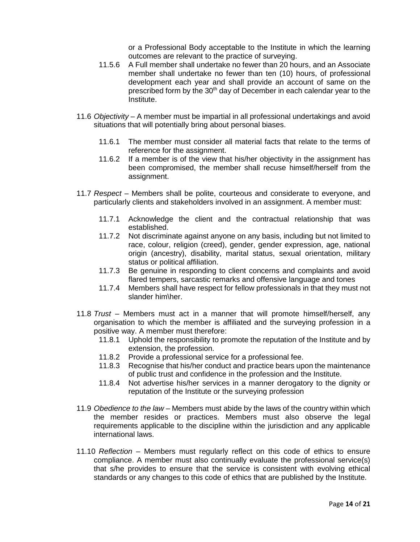or a Professional Body acceptable to the Institute in which the learning outcomes are relevant to the practice of surveying.

- 11.5.6 A Full member shall undertake no fewer than 20 hours, and an Associate member shall undertake no fewer than ten (10) hours, of professional development each year and shall provide an account of same on the prescribed form by the 30<sup>th</sup> day of December in each calendar year to the Institute.
- 11.6 *Objectivity* A member must be impartial in all professional undertakings and avoid situations that will potentially bring about personal biases.
	- 11.6.1 The member must consider all material facts that relate to the terms of reference for the assignment.
	- 11.6.2 If a member is of the view that his/her objectivity in the assignment has been compromised, the member shall recuse himself/herself from the assignment.
- 11.7 *Respect* Members shall be polite, courteous and considerate to everyone, and particularly clients and stakeholders involved in an assignment. A member must:
	- 11.7.1 Acknowledge the client and the contractual relationship that was established.
	- 11.7.2 Not discriminate against anyone on any basis, including but not limited to race, colour, religion (creed), gender, gender expression, age, national origin (ancestry), disability, marital status, sexual orientation, military status or political affiliation.
	- 11.7.3 Be genuine in responding to client concerns and complaints and avoid flared tempers, sarcastic remarks and offensive language and tones
	- 11.7.4 Members shall have respect for fellow professionals in that they must not slander him\her.
- 11.8 *Trust* Members must act in a manner that will promote himself/herself, any organisation to which the member is affiliated and the surveying profession in a positive way. A member must therefore:
	- 11.8.1 Uphold the responsibility to promote the reputation of the Institute and by extension, the profession.
	- 11.8.2 Provide a professional service for a professional fee.
	- 11.8.3 Recognise that his/her conduct and practice bears upon the maintenance of public trust and confidence in the profession and the Institute.
	- 11.8.4 Not advertise his/her services in a manner derogatory to the dignity or reputation of the Institute or the surveying profession
- 11.9 *Obedience to the law* Members must abide by the laws of the country within which the member resides or practices. Members must also observe the legal requirements applicable to the discipline within the jurisdiction and any applicable international laws.
- 11.10 *Reflection* Members must regularly reflect on this code of ethics to ensure compliance. A member must also continually evaluate the professional service(s) that s/he provides to ensure that the service is consistent with evolving ethical standards or any changes to this code of ethics that are published by the Institute.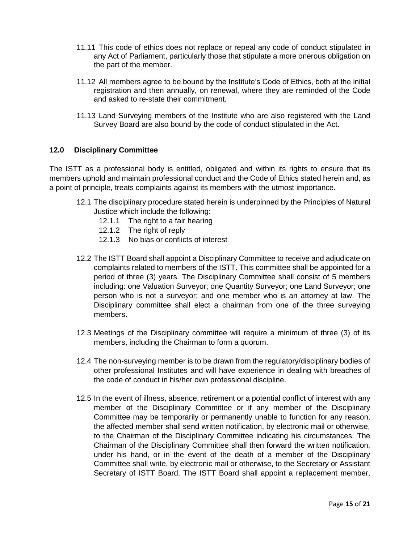- 11.11 This code of ethics does not replace or repeal any code of conduct stipulated in any Act of Parliament, particularly those that stipulate a more onerous obligation on the part of the member.
- 11.12 All members agree to be bound by the Institute's Code of Ethics, both at the initial registration and then annually, on renewal, where they are reminded of the Code and asked to re-state their commitment.
- 11.13 Land Surveying members of the Institute who are also registered with the Land Survey Board are also bound by the code of conduct stipulated in the Act.

# **12.0 Disciplinary Committee**

The ISTT as a professional body is entitled, obligated and within its rights to ensure that its members uphold and maintain professional conduct and the Code of Ethics stated herein and, as a point of principle, treats complaints against its members with the utmost importance.

- 12.1 The disciplinary procedure stated herein is underpinned by the Principles of Natural Justice which include the following:
	- 12.1.1 The right to a fair hearing
	- 12.1.2 The right of reply
	- 12.1.3 No bias or conflicts of interest
- 12.2 The ISTT Board shall appoint a Disciplinary Committee to receive and adjudicate on complaints related to members of the ISTT. This committee shall be appointed for a period of three (3) years. The Disciplinary Committee shall consist of 5 members including: one Valuation Surveyor; one Quantity Surveyor; one Land Surveyor; one person who is not a surveyor; and one member who is an attorney at law. The Disciplinary committee shall elect a chairman from one of the three surveying members.
- 12.3 Meetings of the Disciplinary committee will require a minimum of three (3) of its members, including the Chairman to form a quorum.
- 12.4 The non-surveying member is to be drawn from the regulatory/disciplinary bodies of other professional Institutes and will have experience in dealing with breaches of the code of conduct in his/her own professional discipline.
- 12.5 In the event of illness, absence, retirement or a potential conflict of interest with any member of the Disciplinary Committee or if any member of the Disciplinary Committee may be temporarily or permanently unable to function for any reason, the affected member shall send written notification, by electronic mail or otherwise, to the Chairman of the Disciplinary Committee indicating his circumstances. The Chairman of the Disciplinary Committee shall then forward the written notification, under his hand, or in the event of the death of a member of the Disciplinary Committee shall write, by electronic mail or otherwise, to the Secretary or Assistant Secretary of ISTT Board. The ISTT Board shall appoint a replacement member,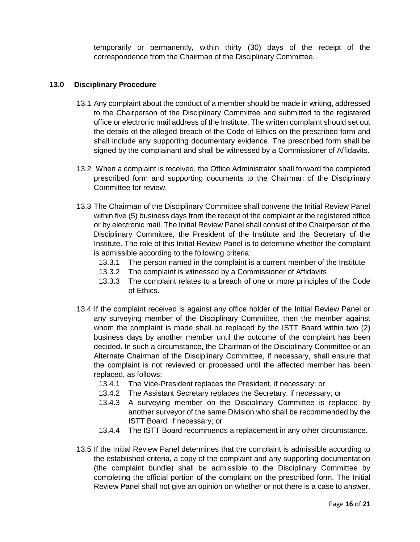temporarily or permanently, within thirty (30) days of the receipt of the correspondence from the Chairman of the Disciplinary Committee.

## **13.0 Disciplinary Procedure**

- 13.1 Any complaint about the conduct of a member should be made in writing, addressed to the Chairperson of the Disciplinary Committee and submitted to the registered office or electronic mail address of the Institute. The written complaint should set out the details of the alleged breach of the Code of Ethics on the prescribed form and shall include any supporting documentary evidence. The prescribed form shall be signed by the complainant and shall be witnessed by a Commissioner of Affidavits.
- 13.2 When a complaint is received, the Office Administrator shall forward the completed prescribed form and supporting documents to the Chairman of the Disciplinary Committee for review.
- 13.3 The Chairman of the Disciplinary Committee shall convene the Initial Review Panel within five (5) business days from the receipt of the complaint at the registered office or by electronic mail. The Initial Review Panel shall consist of the Chairperson of the Disciplinary Committee, the President of the Institute and the Secretary of the Institute. The role of this Initial Review Panel is to determine whether the complaint is admissible according to the following criteria:
	- 13.3.1 The person named in the complaint is a current member of the Institute
	- 13.3.2 The complaint is witnessed by a Commissioner of Affidavits
	- 13.3.3 The complaint relates to a breach of one or more principles of the Code of Ethics.
- 13.4 If the complaint received is against any office holder of the Initial Review Panel or any surveying member of the Disciplinary Committee, then the member against whom the complaint is made shall be replaced by the ISTT Board within two (2) business days by another member until the outcome of the complaint has been decided. In such a circumstance, the Chairman of the Disciplinary Committee or an Alternate Chairman of the Disciplinary Committee, if necessary, shall ensure that the complaint is not reviewed or processed until the affected member has been replaced, as follows:
	- 13.4.1 The Vice-President replaces the President, if necessary; or
	- 13.4.2 The Assistant Secretary replaces the Secretary, if necessary; or
	- 13.4.3 A surveying member on the Disciplinary Committee is replaced by another surveyor of the same Division who shall be recommended by the ISTT Board, if necessary; or
	- 13.4.4 The ISTT Board recommends a replacement in any other circumstance.
- 13.5 If the Initial Review Panel determines that the complaint is admissible according to the established criteria, a copy of the complaint and any supporting documentation (the complaint bundle) shall be admissible to the Disciplinary Committee by completing the official portion of the complaint on the prescribed form. The Initial Review Panel shall not give an opinion on whether or not there is a case to answer.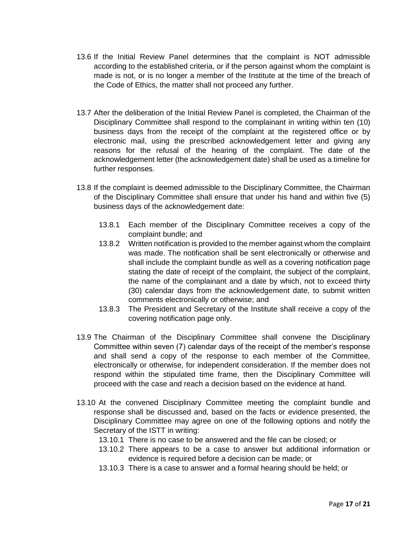- 13.6 If the Initial Review Panel determines that the complaint is NOT admissible according to the established criteria, or if the person against whom the complaint is made is not, or is no longer a member of the Institute at the time of the breach of the Code of Ethics, the matter shall not proceed any further.
- 13.7 After the deliberation of the Initial Review Panel is completed, the Chairman of the Disciplinary Committee shall respond to the complainant in writing within ten (10) business days from the receipt of the complaint at the registered office or by electronic mail, using the prescribed acknowledgement letter and giving any reasons for the refusal of the hearing of the complaint. The date of the acknowledgement letter (the acknowledgement date) shall be used as a timeline for further responses.
- 13.8 If the complaint is deemed admissible to the Disciplinary Committee, the Chairman of the Disciplinary Committee shall ensure that under his hand and within five (5) business days of the acknowledgement date:
	- 13.8.1 Each member of the Disciplinary Committee receives a copy of the complaint bundle; and
	- 13.8.2 Written notification is provided to the member against whom the complaint was made. The notification shall be sent electronically or otherwise and shall include the complaint bundle as well as a covering notification page stating the date of receipt of the complaint, the subject of the complaint, the name of the complainant and a date by which, not to exceed thirty (30) calendar days from the acknowledgement date, to submit written comments electronically or otherwise; and
	- 13.8.3 The President and Secretary of the Institute shall receive a copy of the covering notification page only.
- 13.9 The Chairman of the Disciplinary Committee shall convene the Disciplinary Committee within seven (7) calendar days of the receipt of the member's response and shall send a copy of the response to each member of the Committee, electronically or otherwise, for independent consideration. If the member does not respond within the stipulated time frame, then the Disciplinary Committee will proceed with the case and reach a decision based on the evidence at hand.
- 13.10 At the convened Disciplinary Committee meeting the complaint bundle and response shall be discussed and, based on the facts or evidence presented, the Disciplinary Committee may agree on one of the following options and notify the Secretary of the ISTT in writing:
	- 13.10.1 There is no case to be answered and the file can be closed; or
	- 13.10.2 There appears to be a case to answer but additional information or evidence is required before a decision can be made; or
	- 13.10.3 There is a case to answer and a formal hearing should be held; or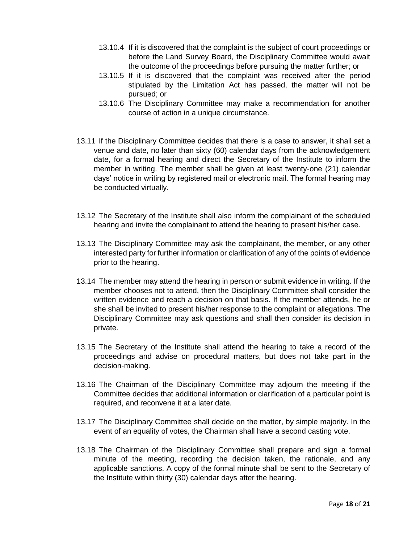- 13.10.4 If it is discovered that the complaint is the subject of court proceedings or before the Land Survey Board, the Disciplinary Committee would await the outcome of the proceedings before pursuing the matter further; or
- 13.10.5 If it is discovered that the complaint was received after the period stipulated by the Limitation Act has passed, the matter will not be pursued; or
- 13.10.6 The Disciplinary Committee may make a recommendation for another course of action in a unique circumstance.
- 13.11 If the Disciplinary Committee decides that there is a case to answer, it shall set a venue and date, no later than sixty (60) calendar days from the acknowledgement date, for a formal hearing and direct the Secretary of the Institute to inform the member in writing. The member shall be given at least twenty-one (21) calendar days' notice in writing by registered mail or electronic mail. The formal hearing may be conducted virtually.
- 13.12 The Secretary of the Institute shall also inform the complainant of the scheduled hearing and invite the complainant to attend the hearing to present his/her case.
- 13.13 The Disciplinary Committee may ask the complainant, the member, or any other interested party for further information or clarification of any of the points of evidence prior to the hearing.
- 13.14 The member may attend the hearing in person or submit evidence in writing. If the member chooses not to attend, then the Disciplinary Committee shall consider the written evidence and reach a decision on that basis. If the member attends, he or she shall be invited to present his/her response to the complaint or allegations. The Disciplinary Committee may ask questions and shall then consider its decision in private.
- 13.15 The Secretary of the Institute shall attend the hearing to take a record of the proceedings and advise on procedural matters, but does not take part in the decision-making.
- 13.16 The Chairman of the Disciplinary Committee may adjourn the meeting if the Committee decides that additional information or clarification of a particular point is required, and reconvene it at a later date.
- 13.17 The Disciplinary Committee shall decide on the matter, by simple majority. In the event of an equality of votes, the Chairman shall have a second casting vote.
- 13.18 The Chairman of the Disciplinary Committee shall prepare and sign a formal minute of the meeting, recording the decision taken, the rationale, and any applicable sanctions. A copy of the formal minute shall be sent to the Secretary of the Institute within thirty (30) calendar days after the hearing.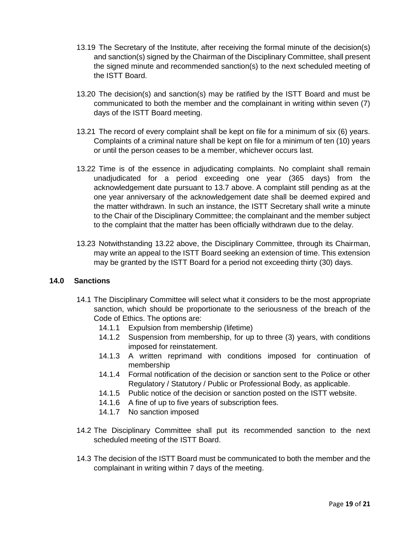- 13.19 The Secretary of the Institute, after receiving the formal minute of the decision(s) and sanction(s) signed by the Chairman of the Disciplinary Committee, shall present the signed minute and recommended sanction(s) to the next scheduled meeting of the ISTT Board.
- 13.20 The decision(s) and sanction(s) may be ratified by the ISTT Board and must be communicated to both the member and the complainant in writing within seven (7) days of the ISTT Board meeting.
- 13.21 The record of every complaint shall be kept on file for a minimum of six (6) years. Complaints of a criminal nature shall be kept on file for a minimum of ten (10) years or until the person ceases to be a member, whichever occurs last.
- 13.22 Time is of the essence in adjudicating complaints. No complaint shall remain unadjudicated for a period exceeding one year (365 days) from the acknowledgement date pursuant to 13.7 above. A complaint still pending as at the one year anniversary of the acknowledgement date shall be deemed expired and the matter withdrawn. In such an instance, the ISTT Secretary shall write a minute to the Chair of the Disciplinary Committee; the complainant and the member subject to the complaint that the matter has been officially withdrawn due to the delay.
- 13.23 Notwithstanding 13.22 above, the Disciplinary Committee, through its Chairman, may write an appeal to the ISTT Board seeking an extension of time. This extension may be granted by the ISTT Board for a period not exceeding thirty (30) days.

# **14.0 Sanctions**

- 14.1 The Disciplinary Committee will select what it considers to be the most appropriate sanction, which should be proportionate to the seriousness of the breach of the Code of Ethics. The options are:
	- 14.1.1 Expulsion from membership (lifetime)
	- 14.1.2 Suspension from membership, for up to three (3) years, with conditions imposed for reinstatement.
	- 14.1.3 A written reprimand with conditions imposed for continuation of membership
	- 14.1.4 Formal notification of the decision or sanction sent to the Police or other Regulatory / Statutory / Public or Professional Body, as applicable.
	- 14.1.5 Public notice of the decision or sanction posted on the ISTT website.
	- 14.1.6 A fine of up to five years of subscription fees.
	- 14.1.7 No sanction imposed
- 14.2 The Disciplinary Committee shall put its recommended sanction to the next scheduled meeting of the ISTT Board.
- 14.3 The decision of the ISTT Board must be communicated to both the member and the complainant in writing within 7 days of the meeting.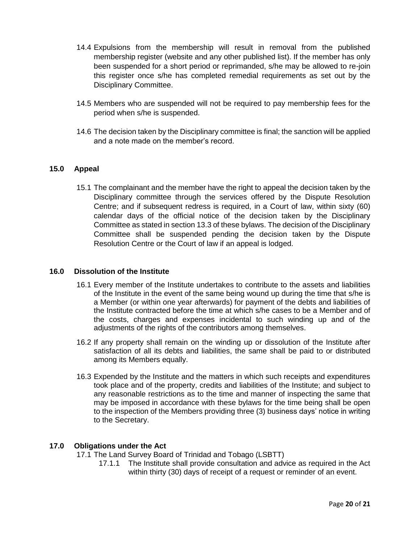- 14.4 Expulsions from the membership will result in removal from the published membership register (website and any other published list). If the member has only been suspended for a short period or reprimanded, s/he may be allowed to re-join this register once s/he has completed remedial requirements as set out by the Disciplinary Committee.
- 14.5 Members who are suspended will not be required to pay membership fees for the period when s/he is suspended.
- 14.6 The decision taken by the Disciplinary committee is final; the sanction will be applied and a note made on the member's record.

# **15.0 Appeal**

15.1 The complainant and the member have the right to appeal the decision taken by the Disciplinary committee through the services offered by the Dispute Resolution Centre; and if subsequent redress is required, in a Court of law, within sixty (60) calendar days of the official notice of the decision taken by the Disciplinary Committee as stated in section 13.3 of these bylaws. The decision of the Disciplinary Committee shall be suspended pending the decision taken by the Dispute Resolution Centre or the Court of law if an appeal is lodged.

### **16.0 Dissolution of the Institute**

- 16.1 Every member of the Institute undertakes to contribute to the assets and liabilities of the Institute in the event of the same being wound up during the time that s/he is a Member (or within one year afterwards) for payment of the debts and liabilities of the Institute contracted before the time at which s/he cases to be a Member and of the costs, charges and expenses incidental to such winding up and of the adjustments of the rights of the contributors among themselves.
- 16.2 If any property shall remain on the winding up or dissolution of the Institute after satisfaction of all its debts and liabilities, the same shall be paid to or distributed among its Members equally.
- 16.3 Expended by the Institute and the matters in which such receipts and expenditures took place and of the property, credits and liabilities of the Institute; and subject to any reasonable restrictions as to the time and manner of inspecting the same that may be imposed in accordance with these bylaws for the time being shall be open to the inspection of the Members providing three (3) business days' notice in writing to the Secretary.

### **17.0 Obligations under the Act**

17.1 The Land Survey Board of Trinidad and Tobago (LSBTT)

17.1.1 The Institute shall provide consultation and advice as required in the Act within thirty (30) days of receipt of a request or reminder of an event.